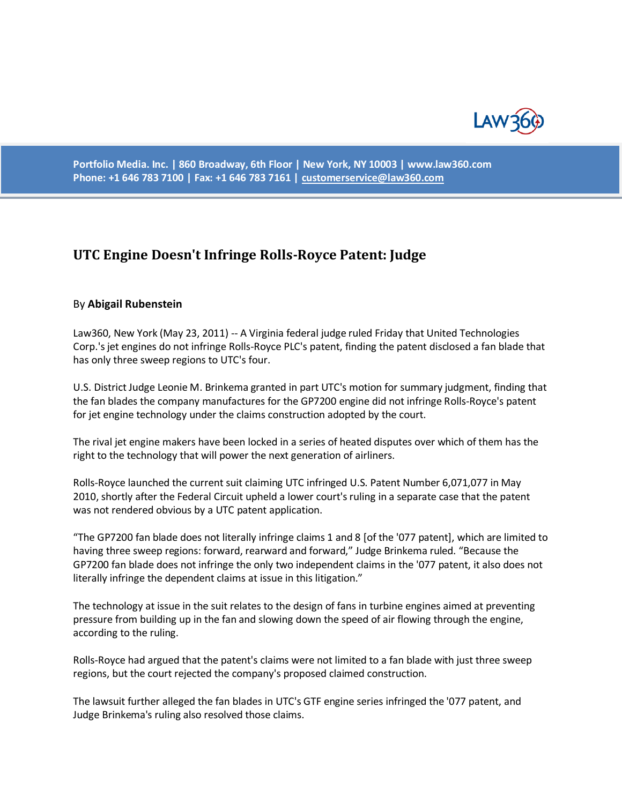

**Portfolio Media. Inc. | 860 Broadway, 6th Floor | New York, NY 10003 | www.law360.com Phone: +1 646 783 7100 | Fax: +1 646 783 7161 [| customerservice@law360.com](mailto:customerservice@law360.com)**

## **UTC Engine Doesn't Infringe Rolls-Royce Patent: Judge**

## By **Abigail Rubenstein**

Law360, New York (May 23, 2011) -- A Virginia federal judge ruled Friday that United Technologies Corp.'s jet engines do not infringe Rolls-Royce PLC's patent, finding the patent disclosed a fan blade that has only three sweep regions to UTC's four.

U.S. District Judge Leonie M. Brinkema granted in part UTC's motion for summary judgment, finding that the fan blades the company manufactures for the GP7200 engine did not infringe Rolls-Royce's patent for jet engine technology under the claims construction adopted by the court.

The rival jet engine makers have been locked in a series of heated disputes over which of them has the right to the technology that will power the next generation of airliners.

Rolls-Royce launched the current suit claiming UTC infringed U.S. Patent Number 6,071,077 in May 2010, shortly after the Federal Circuit upheld a lower court's ruling in a separate case that the patent was not rendered obvious by a UTC patent application.

"The GP7200 fan blade does not literally infringe claims 1 and 8 [of the '077 patent], which are limited to having three sweep regions: forward, rearward and forward," Judge Brinkema ruled. "Because the GP7200 fan blade does not infringe the only two independent claims in the '077 patent, it also does not literally infringe the dependent claims at issue in this litigation."

The technology at issue in the suit relates to the design of fans in turbine engines aimed at preventing pressure from building up in the fan and slowing down the speed of air flowing through the engine, according to the ruling.

Rolls-Royce had argued that the patent's claims were not limited to a fan blade with just three sweep regions, but the court rejected the company's proposed claimed construction.

The lawsuit further alleged the fan blades in UTC's GTF engine series infringed the '077 patent, and Judge Brinkema's ruling also resolved those claims.